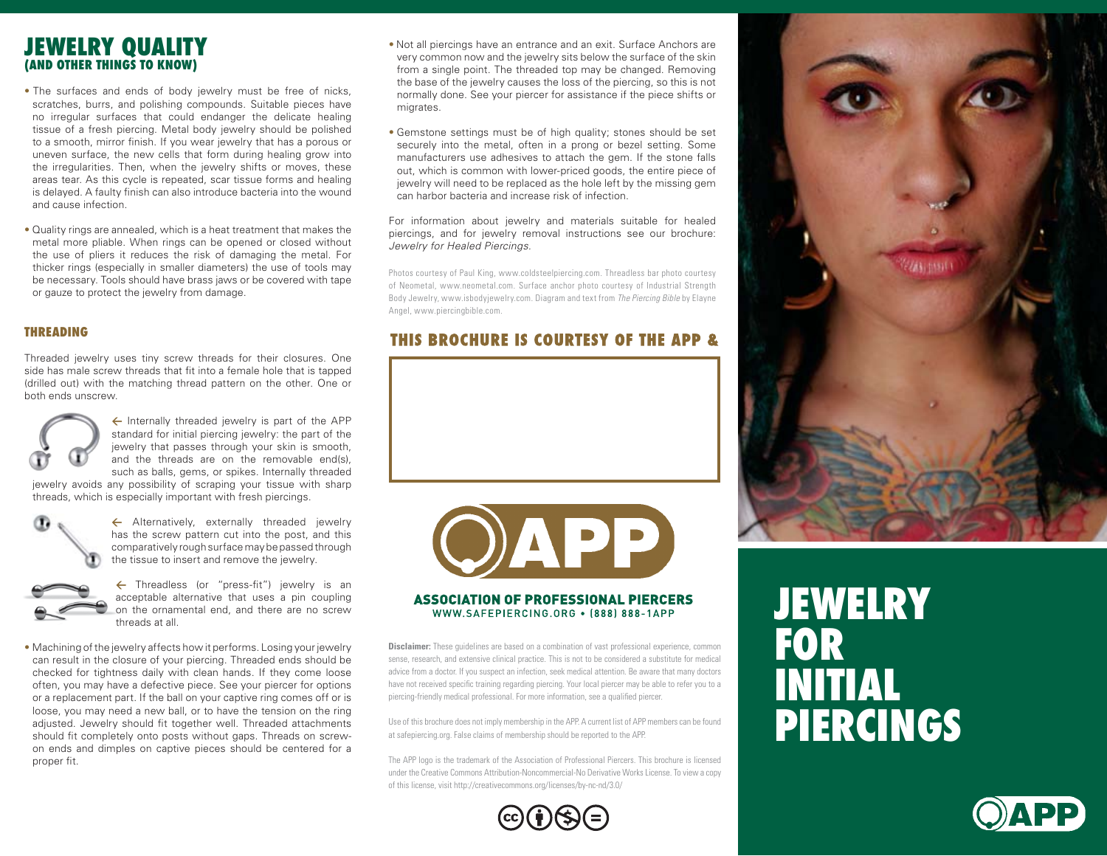## **Jewelry Quality (and other things to know)**

- The surfaces and ends of body jewelry must be free of nicks, scratches, burrs, and polishing compounds. Suitable pieces have no irregular surfaces that could endanger the delicate healing tissue of a fresh piercing. Metal body jewelry should be polished to a smooth, mirror finish. If you wear jewelry that has a porous or uneven surface, the new cells that form during healing grow into the irregularities. Then, when the jewelry shifts or moves, these areas tear. As this cycle is repeated, scar tissue forms and healing is delayed. A faulty finish can also introduce bacteria into the wound and cause infection.
- Quality rings are annealed, which is a heat treatment that makes the metal more pliable. When rings can be opened or closed without the use of pliers it reduces the risk of damaging the metal. For thicker rings (especially in smaller diameters) the use of tools may be necessary. Tools should have brass jaws or be covered with tape or gauze to protect the jewelry from damage.

#### **Threading**

Threaded jewelry uses tiny screw threads for their closures. One side has male screw threads that fit into a female hole that is tapped (drilled out) with the matching thread pattern on the other. One or both ends unscrew.



**<** Internally threaded jewelry is part of the APP standard for initial piercing jewelry: the part of the jewelry that passes through your skin is smooth, and the threads are on the removable end(s), such as balls, gems, or spikes. Internally threaded

jewelry avoids any possibility of scraping your tissue with sharp threads, which is especially important with fresh piercings.



← Alternatively, externally threaded jewelry has the screw pattern cut into the post, and this comparatively rough surface may be passed through the tissue to insert and remove the jewelry.



**<** Threadless (or "press-fit") jewelry is an acceptable alternative that uses a pin coupling on the ornamental end, and there are no screw threads at all.

• Machining of the jewelry affects how it performs. Losing your jewelry can result in the closure of your piercing. Threaded ends should be checked for tightness daily with clean hands. If they come loose often, you may have a defective piece. See your piercer for options or a replacement part. If the ball on your captive ring comes off or is loose, you may need a new ball, or to have the tension on the ring adjusted. Jewelry should fit together well. Threaded attachments should fit completely onto posts without gaps. Threads on screwon ends and dimples on captive pieces should be centered for a proper fit.

- Not all piercings have an entrance and an exit. Surface Anchors are very common now and the jewelry sits below the surface of the skin from a single point. The threaded top may be changed. Removing the base of the jewelry causes the loss of the piercing, so this is not normally done. See your piercer for assistance if the piece shifts or migrates.
- Gemstone settings must be of high quality; stones should be set securely into the metal, often in a prong or bezel setting. Some manufacturers use adhesives to attach the gem. If the stone falls out, which is common with lower-priced goods, the entire piece of jewelry will need to be replaced as the hole left by the missing gem can harbor bacteria and increase risk of infection.

For information about jewelry and materials suitable for healed piercings, and for jewelry removal instructions see our brochure: *Jewelry for Healed Piercings.*

Photos courtesy of Paul King, www.coldsteelpiercing.com. Threadless bar photo courtesy of Neometal, www.neometal.com. Surface anchor photo courtesy of Industrial Strength Body Jewelry, www.isbodyjewelry.com. Diagram and text from *The Piercing Bible* by Elayne Angel, www.piercingbible.com.

### **THIS BROCHURE IS COURTESY OF THE APP &**



#### **ASSOCIATION OF PROFESSIONAL PIERCERS** WWW.SAFEPIERCING.ORG . [888] 888-1APP

**Disclaimer:** These guidelines are based on a combination of vast professional experience, common sense, research, and extensive clinical practice. This is not to be considered a substitute for medical advice from a doctor. If you suspect an infection, seek medical attention. Be aware that many doctors have not received specific training regarding piercing. Your local piercer may be able to refer you to a piercing-friendly medical professional. For more information, see a qualified piercer.

Use of this brochure does not imply membership in the APP. A current list of APP members can be found at safepiercing.org. False claims of membership should be reported to the APP.

The APP logo is the trademark of the Association of Professional Piercers. This brochure is licensed under the Creative Commons Attribution-Noncommercial-No Derivative Works License. To view a copy of this license, visit http://creativecommons.org/licenses/by-nc-nd/3.0/





# **Jewelry for INITIAL Piercings**